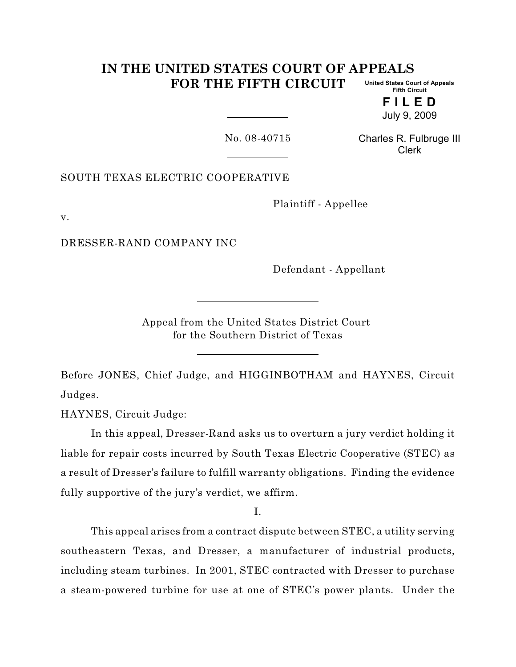#### **IN THE UNITED STATES COURT OF APPEALS FOR THE FIFTH CIRCUIT United States Court of Appeals Fifth Circuit**

**F I L E D** July 9, 2009

No. 08-40715

Charles R. Fulbruge III Clerk

SOUTH TEXAS ELECTRIC COOPERATIVE

Plaintiff - Appellee

v.

DRESSER-RAND COMPANY INC

Defendant - Appellant

Appeal from the United States District Court for the Southern District of Texas

Before JONES, Chief Judge, and HIGGINBOTHAM and HAYNES, Circuit Judges.

HAYNES, Circuit Judge:

In this appeal, Dresser-Rand asks us to overturn a jury verdict holding it liable for repair costs incurred by South Texas Electric Cooperative (STEC) as a result of Dresser's failure to fulfill warranty obligations. Finding the evidence fully supportive of the jury's verdict, we affirm.

I.

This appeal arises from a contract dispute between STEC, a utility serving southeastern Texas, and Dresser, a manufacturer of industrial products, including steam turbines. In 2001, STEC contracted with Dresser to purchase a steam-powered turbine for use at one of STEC's power plants. Under the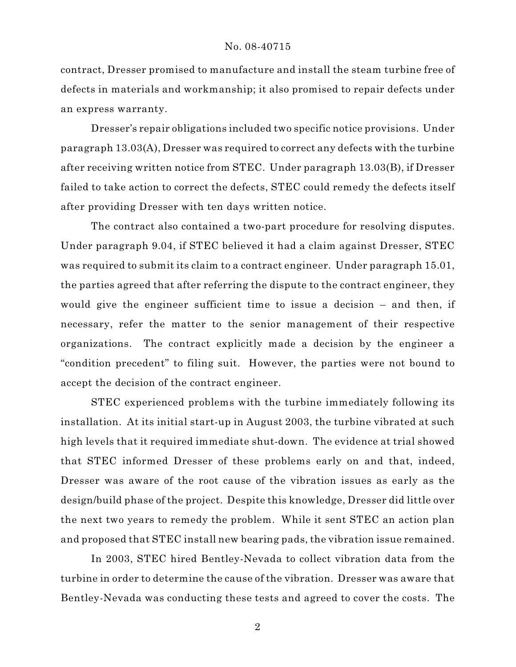contract, Dresser promised to manufacture and install the steam turbine free of defects in materials and workmanship; it also promised to repair defects under an express warranty.

Dresser's repair obligations included two specific notice provisions. Under paragraph 13.03(A), Dresser was required to correct any defects with the turbine after receiving written notice from STEC. Under paragraph 13.03(B), if Dresser failed to take action to correct the defects, STEC could remedy the defects itself after providing Dresser with ten days written notice.

The contract also contained a two-part procedure for resolving disputes. Under paragraph 9.04, if STEC believed it had a claim against Dresser, STEC was required to submit its claim to a contract engineer. Under paragraph 15.01, the parties agreed that after referring the dispute to the contract engineer, they would give the engineer sufficient time to issue a decision – and then, if necessary, refer the matter to the senior management of their respective organizations. The contract explicitly made a decision by the engineer a "condition precedent" to filing suit. However, the parties were not bound to accept the decision of the contract engineer.

STEC experienced problems with the turbine immediately following its installation. At its initial start-up in August 2003, the turbine vibrated at such high levels that it required immediate shut-down. The evidence at trial showed that STEC informed Dresser of these problems early on and that, indeed, Dresser was aware of the root cause of the vibration issues as early as the design/build phase of the project. Despite this knowledge, Dresser did little over the next two years to remedy the problem. While it sent STEC an action plan and proposed that STEC install new bearing pads, the vibration issue remained.

In 2003, STEC hired Bentley-Nevada to collect vibration data from the turbine in order to determine the cause of the vibration. Dresser was aware that Bentley-Nevada was conducting these tests and agreed to cover the costs. The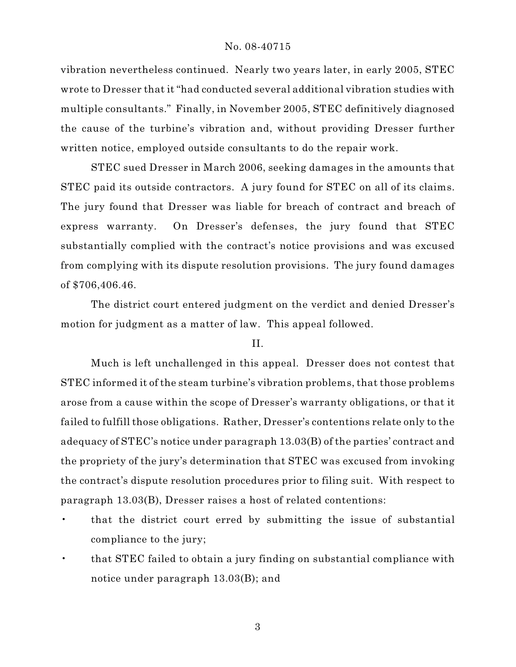vibration nevertheless continued. Nearly two years later, in early 2005, STEC wrote to Dresser that it "had conducted several additional vibration studies with multiple consultants." Finally, in November 2005, STEC definitively diagnosed the cause of the turbine's vibration and, without providing Dresser further written notice, employed outside consultants to do the repair work.

STEC sued Dresser in March 2006, seeking damages in the amounts that STEC paid its outside contractors. A jury found for STEC on all of its claims. The jury found that Dresser was liable for breach of contract and breach of express warranty. On Dresser's defenses, the jury found that STEC substantially complied with the contract's notice provisions and was excused from complying with its dispute resolution provisions. The jury found damages of \$706,406.46.

The district court entered judgment on the verdict and denied Dresser's motion for judgment as a matter of law. This appeal followed.

# II.

Much is left unchallenged in this appeal. Dresser does not contest that STEC informed it of the steam turbine's vibration problems, that those problems arose from a cause within the scope of Dresser's warranty obligations, or that it failed to fulfill those obligations. Rather, Dresser's contentions relate only to the adequacy of STEC's notice under paragraph 13.03(B) of the parties' contract and the propriety of the jury's determination that STEC was excused from invoking the contract's dispute resolution procedures prior to filing suit. With respect to paragraph 13.03(B), Dresser raises a host of related contentions:

- that the district court erred by submitting the issue of substantial compliance to the jury;
- that STEC failed to obtain a jury finding on substantial compliance with notice under paragraph 13.03(B); and

3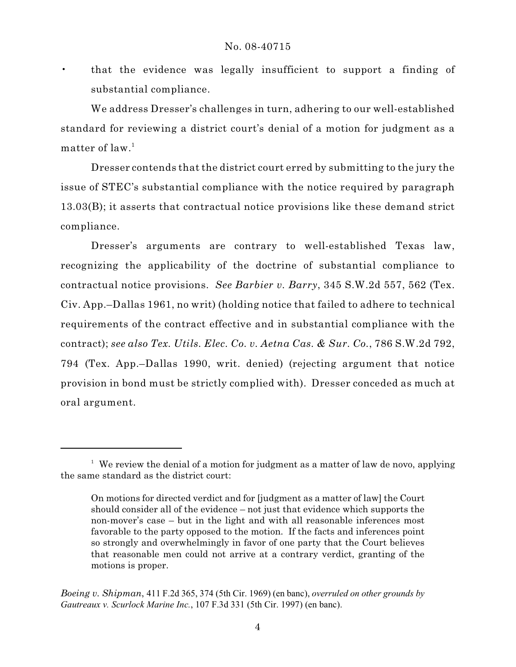• that the evidence was legally insufficient to support a finding of substantial compliance.

We address Dresser's challenges in turn, adhering to our well-established standard for reviewing a district court's denial of a motion for judgment as a matter of law. 1

Dresser contends that the district court erred by submitting to the jury the issue of STEC's substantial compliance with the notice required by paragraph 13.03(B); it asserts that contractual notice provisions like these demand strict compliance.

Dresser's arguments are contrary to well-established Texas law, recognizing the applicability of the doctrine of substantial compliance to contractual notice provisions. *See Barbier v. Barry*, 345 S.W.2d 557, 562 (Tex. Civ. App.–Dallas 1961, no writ) (holding notice that failed to adhere to technical requirements of the contract effective and in substantial compliance with the contract); *see also Tex. Utils. Elec. Co. v. Aetna Cas. & Sur. Co.*, 786 S.W.2d 792, 794 (Tex. App.–Dallas 1990, writ. denied) (rejecting argument that notice provision in bond must be strictly complied with). Dresser conceded as much at oral argument.

 $1$  We review the denial of a motion for judgment as a matter of law de novo, applying the same standard as the district court:

On motions for directed verdict and for [judgment as a matter of law] the Court should consider all of the evidence – not just that evidence which supports the non-mover's case – but in the light and with all reasonable inferences most favorable to the party opposed to the motion. If the facts and inferences point so strongly and overwhelmingly in favor of one party that the Court believes that reasonable men could not arrive at a contrary verdict, granting of the motions is proper.

*Boeing v. Shipman*, 411 F.2d 365, 374 (5th Cir. 1969) (en banc), *overruled on other grounds by Gautreaux v. Scurlock Marine Inc.*, 107 F.3d 331 (5th Cir. 1997) (en banc).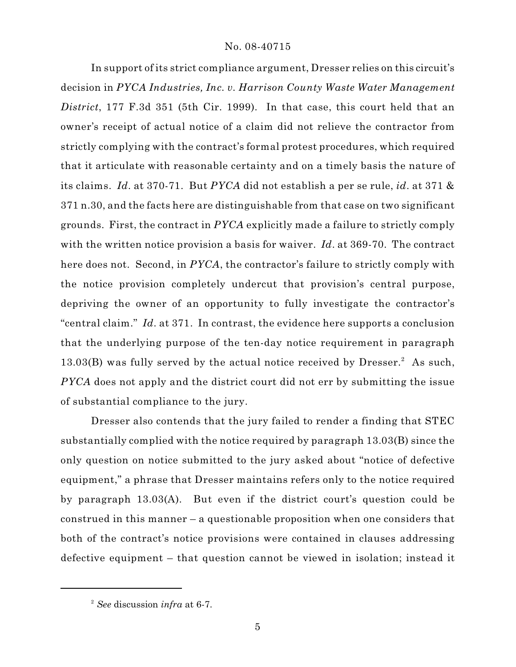In support of its strict compliance argument, Dresser relies on this circuit's decision in *PYCA Industries, Inc. v. Harrison County Waste Water Management District*, 177 F.3d 351 (5th Cir. 1999). In that case, this court held that an owner's receipt of actual notice of a claim did not relieve the contractor from strictly complying with the contract's formal protest procedures, which required that it articulate with reasonable certainty and on a timely basis the nature of its claims. *Id*. at 370-71. But *PYCA* did not establish a per se rule, *id*. at 371 & 371 n.30, and the facts here are distinguishable from that case on two significant grounds. First, the contract in *PYCA* explicitly made a failure to strictly comply with the written notice provision a basis for waiver. *Id*. at 369-70. The contract here does not. Second, in *PYCA*, the contractor's failure to strictly comply with the notice provision completely undercut that provision's central purpose, depriving the owner of an opportunity to fully investigate the contractor's "central claim." *Id*. at 371. In contrast, the evidence here supports a conclusion that the underlying purpose of the ten-day notice requirement in paragraph 13.03(B) was fully served by the actual notice received by  $Dresser.<sup>2</sup>$  As such, *PYCA* does not apply and the district court did not err by submitting the issue of substantial compliance to the jury.

Dresser also contends that the jury failed to render a finding that STEC substantially complied with the notice required by paragraph 13.03(B) since the only question on notice submitted to the jury asked about "notice of defective equipment," a phrase that Dresser maintains refers only to the notice required by paragraph 13.03(A). But even if the district court's question could be construed in this manner – a questionable proposition when one considers that both of the contract's notice provisions were contained in clauses addressing defective equipment – that question cannot be viewed in isolation; instead it

*See* discussion *infra* at 6-7. 2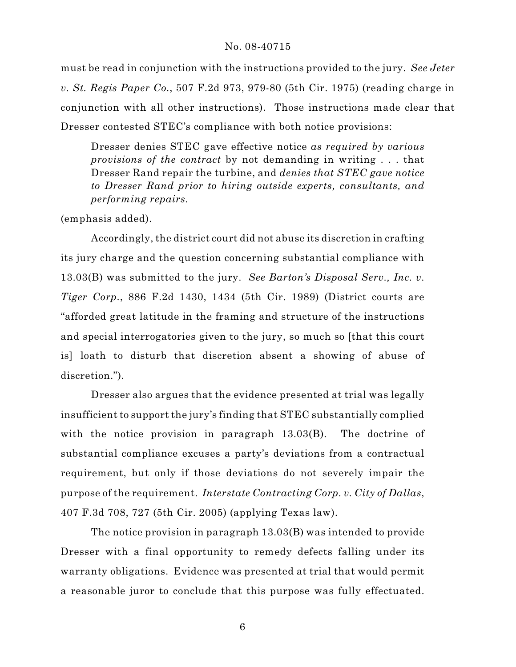must be read in conjunction with the instructions provided to the jury. *See Jeter v. St. Regis Paper Co.*, 507 F.2d 973, 979-80 (5th Cir. 1975) (reading charge in conjunction with all other instructions). Those instructions made clear that Dresser contested STEC's compliance with both notice provisions:

Dresser denies STEC gave effective notice *as required by various provisions of the contract* by not demanding in writing . . . that Dresser Rand repair the turbine, and *denies that STEC gave notice to Dresser Rand prior to hiring outside experts, consultants, and performing repairs.*

(emphasis added).

Accordingly, the district court did not abuse its discretion in crafting its jury charge and the question concerning substantial compliance with 13.03(B) was submitted to the jury. *See Barton's Disposal Serv., Inc. v. Tiger Corp.*, 886 F.2d 1430, 1434 (5th Cir. 1989) (District courts are "afforded great latitude in the framing and structure of the instructions and special interrogatories given to the jury, so much so [that this court is] loath to disturb that discretion absent a showing of abuse of discretion.").

Dresser also argues that the evidence presented at trial was legally insufficient to support the jury's finding that STEC substantially complied with the notice provision in paragraph 13.03(B). The doctrine of substantial compliance excuses a party's deviations from a contractual requirement, but only if those deviations do not severely impair the purpose of the requirement. *Interstate Contracting Corp. v. City of Dallas*, 407 F.3d 708, 727 (5th Cir. 2005) (applying Texas law).

The notice provision in paragraph 13.03(B) was intended to provide Dresser with a final opportunity to remedy defects falling under its warranty obligations. Evidence was presented at trial that would permit a reasonable juror to conclude that this purpose was fully effectuated.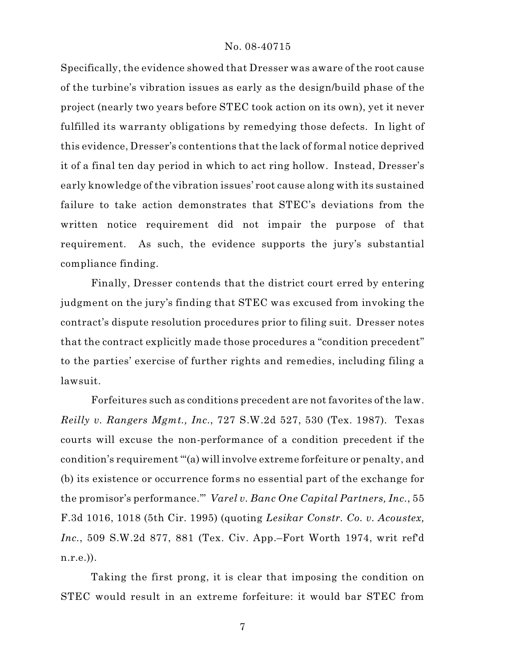Specifically, the evidence showed that Dresser was aware of the root cause of the turbine's vibration issues as early as the design/build phase of the project (nearly two years before STEC took action on its own), yet it never fulfilled its warranty obligations by remedying those defects. In light of this evidence, Dresser's contentions that the lack of formal notice deprived it of a final ten day period in which to act ring hollow. Instead, Dresser's early knowledge of the vibration issues' root cause along with its sustained failure to take action demonstrates that STEC's deviations from the written notice requirement did not impair the purpose of that requirement. As such, the evidence supports the jury's substantial compliance finding.

Finally, Dresser contends that the district court erred by entering judgment on the jury's finding that STEC was excused from invoking the contract's dispute resolution procedures prior to filing suit. Dresser notes that the contract explicitly made those procedures a "condition precedent" to the parties' exercise of further rights and remedies, including filing a lawsuit.

Forfeitures such as conditions precedent are not favorites of the law. *Reilly v. Rangers Mgmt., Inc.*, 727 S.W.2d 527, 530 (Tex. 1987). Texas courts will excuse the non-performance of a condition precedent if the condition's requirement "'(a) will involve extreme forfeiture or penalty, and (b) its existence or occurrence forms no essential part of the exchange for the promisor's performance.'" *Varel v. Banc One Capital Partners, Inc.*, 55 F.3d 1016, 1018 (5th Cir. 1995) (quoting *Lesikar Constr. Co. v. Acoustex, Inc.*, 509 S.W.2d 877, 881 (Tex. Civ. App.–Fort Worth 1974, writ ref'd n.r.e.)).

Taking the first prong, it is clear that imposing the condition on STEC would result in an extreme forfeiture: it would bar STEC from